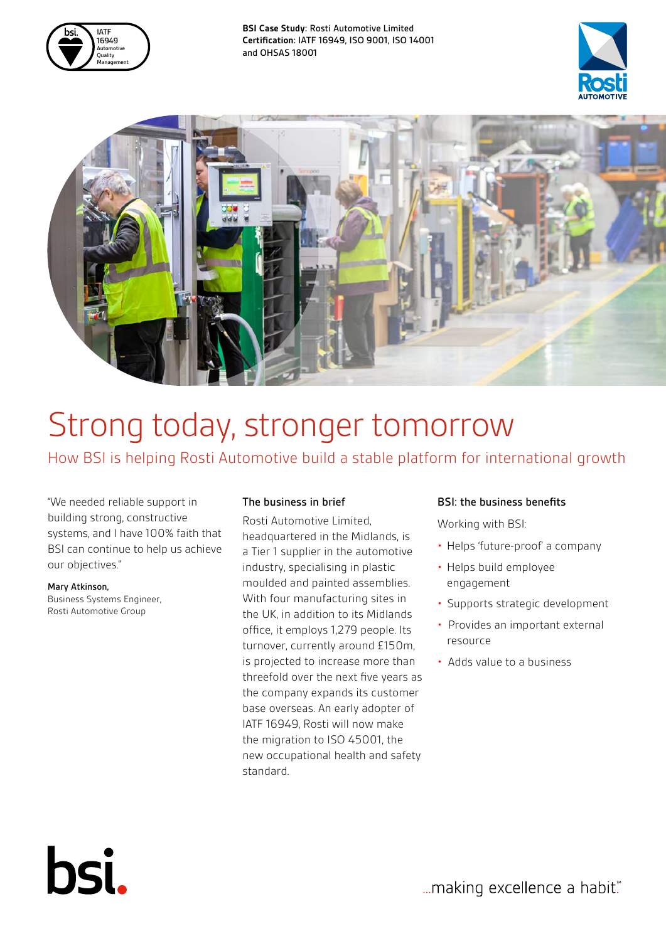

**BSI Case Study:** Rosti Automotive Limited **Certification:** IATF 16949, ISO 9001, ISO 14001 and OHSAS 18001





# Strong today, stronger tomorrow

How BSI is helping Rosti Automotive build a stable platform for international growth

"We needed reliable support in building strong, constructive systems, and I have 100% faith that BSI can continue to help us achieve our objectives."

#### Mary Atkinson,

bsi.

Business Systems Engineer, Rosti Automotive Group

## The business in brief

Rosti Automotive Limited, headquartered in the Midlands, is a Tier 1 supplier in the automotive industry, specialising in plastic moulded and painted assemblies. With four manufacturing sites in the UK, in addition to its Midlands office, it employs 1,279 people. Its turnover, currently around £150m, is projected to increase more than threefold over the next five years as the company expands its customer base overseas. An early adopter of IATF 16949, Rosti will now make the migration to ISO 45001, the new occupational health and safety standard.

## BSI: the business benefits

Working with BSI:

- Helps 'future-proof' a company
- Helps build employee engagement
- Supports strategic development
- Provides an important external resource
- Adds value to a business